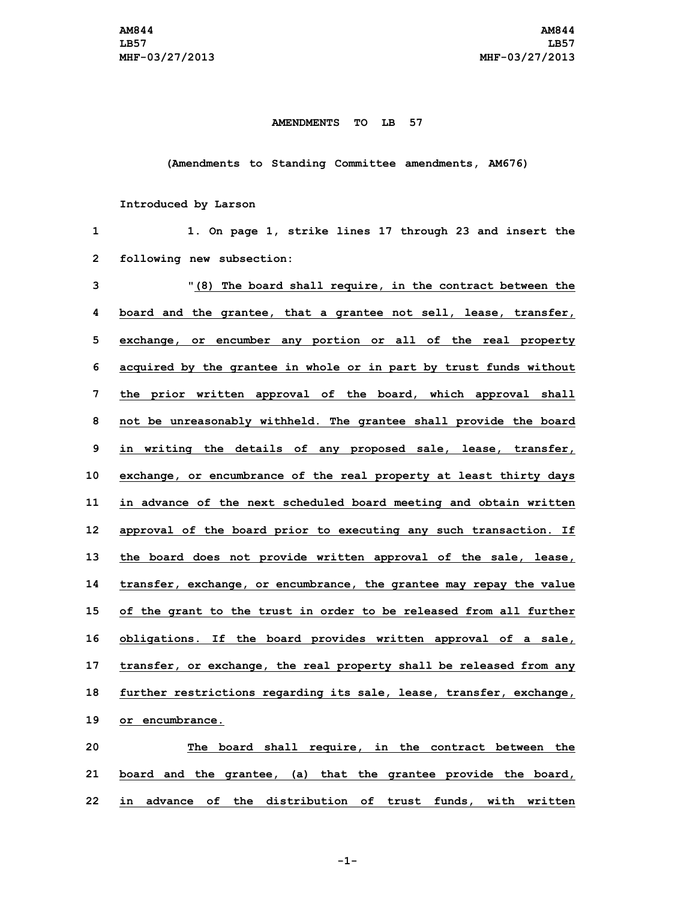## **AMENDMENTS TO LB 57**

## **(Amendments to Standing Committee amendments, AM676)**

## **Introduced by Larson**

| 1            | 1. On page 1, strike lines 17 through 23 and insert the             |
|--------------|---------------------------------------------------------------------|
| $\mathbf{2}$ | following new subsection:                                           |
| 3            | "(8) The board shall require, in the contract between the           |
| 4            | board and the grantee, that a grantee not sell, lease, transfer,    |
| 5            | exchange, or encumber any portion or all of the real property       |
| 6            | acquired by the grantee in whole or in part by trust funds without  |
| 7            | the prior written approval of the board, which approval shall       |
| 8            | not be unreasonably withheld. The grantee shall provide the board   |
| 9            | in writing the details of any proposed sale, lease, transfer,       |
| 10           | exchange, or encumbrance of the real property at least thirty days  |
| 11           | in advance of the next scheduled board meeting and obtain written   |
| 12           | approval of the board prior to executing any such transaction. If   |
| 13           | the board does not provide written approval of the sale, lease,     |
| 14           | transfer, exchange, or encumbrance, the grantee may repay the value |
| 15           | of the grant to the trust in order to be released from all further  |
| 16           | obligations. If the board provides written approval of a sale,      |
| 17           | transfer, or exchange, the real property shall be released from any |
| 18           | further restrictions regarding its sale, lease, transfer, exchange, |
| 19           | or encumbrance.                                                     |
| 20           | The board shall require, in the contract between the                |
| 21           | board and the grantee, (a) that the grantee provide the board,      |
|              |                                                                     |

**-1-**

**22 in advance of the distribution of trust funds, with written**